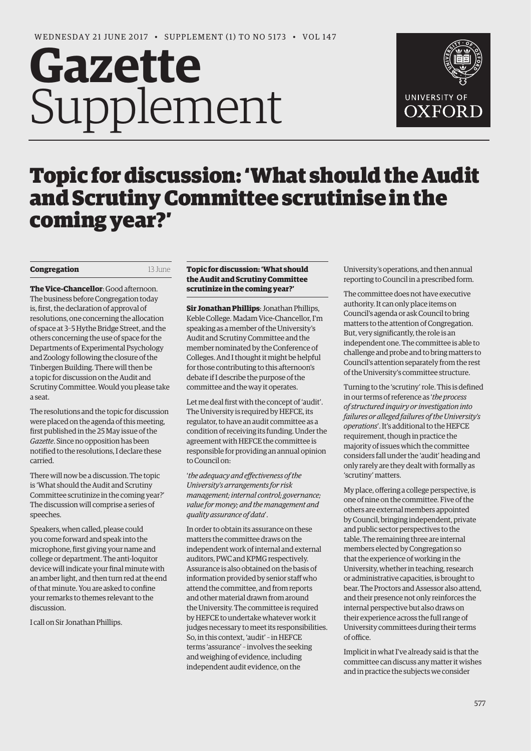## **Gazette** Supplement



## Topic for discussion: 'What should the Audit and Scrutiny Committee scrutinise in the coming year?'

## **Congregation** 13 June

**The Vice-Chancellor**: Good afternoon. The business before Congregation today is, first, the declaration of approval of resolutions, one concerning the allocation of space at 3–5 Hythe Bridge Street, and the others concerning the use of space for the Departments of Experimental Psychology and Zoology following the closure of the Tinbergen Building. There will then be a topic for discussion on the Audit and Scrutiny Committee. Would you please take a seat.

The resolutions and the topic for discussion were placed on the agenda of this meeting, first published in the 25 May issue of the *Gazette*. Since no opposition has been notified to the resolutions, I declare these carried.

There will now be a discussion. The topic is 'What should the Audit and Scrutiny Committee scrutinize in the coming year?' The discussion will comprise a series of speeches.

Speakers, when called, please could you come forward and speak into the microphone, first giving your name and college or department. The anti-loquitor device will indicate your final minute with an amber light, and then turn red at the end of that minute. You are asked to confine your remarks to themes relevant to the discussion.

I call on Sir Jonathan Phillips.

## **Topic for discussion: 'What should the Audit and Scrutiny Committee scrutinize in the coming year?'**

**Sir Jonathan Phillips**: Jonathan Phillips, Keble College. Madam Vice-Chancellor, I'm speaking as a member of the University's Audit and Scrutiny Committee and the member nominated by the Conference of Colleges. And I thought it might be helpful for those contributing to this afternoon's debate if I describe the purpose of the committee and the way it operates.

Let me deal first with the concept of 'audit'. The University is required by HEFCE, its regulator, to have an audit committee as a condition of receiving its funding. Under the agreement with HEFCE the committee is responsible for providing an annual opinion to Council on:

'*the adequacy and effectiveness of the University's arrangements for risk management; internal control; governance; value for money; and the management and quality assurance of data*'.

In order to obtain its assurance on these matters the committee draws on the independent work of internal and external auditors, PWC and KPMG respectively. Assurance is also obtained on the basis of information provided by senior staff who attend the committee, and from reports and other material drawn from around the University. The committee is required by HEFCE to undertake whatever work it judges necessary to meet its responsibilities. So, in this context, 'audit' – in HEFCE terms 'assurance' – involves the seeking and weighing of evidence, including independent audit evidence, on the

University's operations, and then annual reporting to Council in a prescribed form.

The committee does not have executive authority. It can only place items on Council's agenda or ask Council to bring matters to the attention of Congregation. But, very significantly, the role is an independent one. The committee is able to challenge and probe and to bring matters to Council's attention separately from the rest of the University's committee structure.

Turning to the 'scrutiny' role. This is defined in our terms of reference as '*the process of structured inquiry or investigation into failures or alleged failures of the University's operations*'. It's additional to the HEFCE requirement, though in practice the majority of issues which the committee considers fall under the 'audit' heading and only rarely are they dealt with formally as 'scrutiny' matters.

My place, offering a college perspective, is one of nine on the committee. Five of the others are external members appointed by Council, bringing independent, private and public sector perspectives to the table. The remaining three are internal members elected by Congregation so that the experience of working in the University, whether in teaching, research or administrative capacities, is brought to bear. The Proctors and Assessor also attend, and their presence not only reinforces the internal perspective but also draws on their experience across the full range of University committees during their terms of office.

Implicit in what I've already said is that the committee can discuss any matter it wishes and in practice the subjects we consider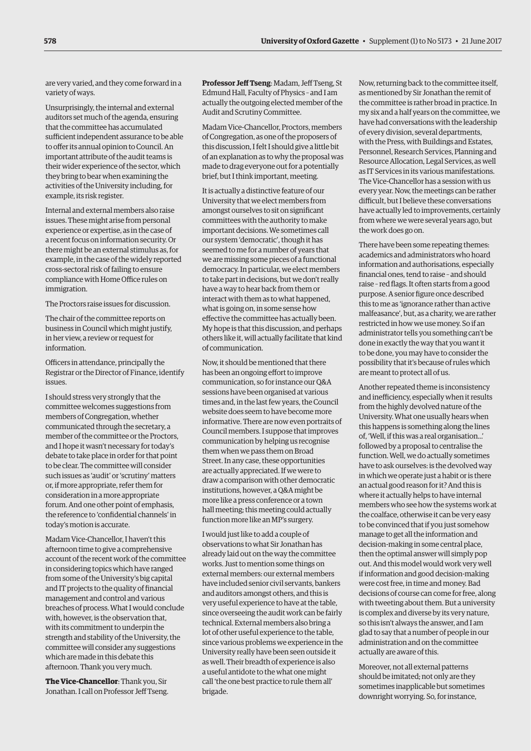are very varied, and they come forward in a variety of ways.

Unsurprisingly, the internal and external auditors set much of the agenda, ensuring that the committee has accumulated sufficient independent assurance to be able to offer its annual opinion to Council. An important attribute of the audit teams is their wider experience of the sector, which they bring to bear when examining the activities of the University including, for example, its risk register.

Internal and external members also raise issues. These might arise from personal experience or expertise, as in the case of a recent focus on information security. Or there might be an external stimulus as, for example, in the case of the widely reported cross-sectoral risk of failing to ensure compliance with Home Office rules on immigration.

The Proctors raise issues for discussion.

The chair of the committee reports on business in Council which might justify, in her view, a review or request for information.

Officers in attendance, principally the Registrar or the Director of Finance, identify issues.

I should stress very strongly that the committee welcomes suggestions from members of Congregation, whether communicated through the secretary, a member of the committee or the Proctors, and I hope it wasn't necessary for today's debate to take place in order for that point to be clear. The committee will consider such issues as 'audit' or 'scrutiny' matters or, if more appropriate, refer them for consideration in a more appropriate forum. And one other point of emphasis, the reference to 'confidential channels' in today's motion is accurate.

Madam Vice-Chancellor, I haven't this afternoon time to give a comprehensive account of the recent work of the committee in considering topics which have ranged from some of the University's big capital and IT projects to the quality of financial management and control and various breaches of process. What I would conclude with, however, is the observation that, with its commitment to underpin the strength and stability of the University, the committee will consider any suggestions which are made in this debate this afternoon. Thank you very much.

**The Vice-Chancellor**: Thank you, Sir Jonathan. I call on Professor Jeff Tseng. **Professor Jeff Tseng**: Madam, Jeff Tseng, St Edmund Hall, Faculty of Physics – and I am actually the outgoing elected member of the Audit and Scrutiny Committee.

Madam Vice-Chancellor, Proctors, members of Congregation, as one of the proposers of this discussion, I felt I should give a little bit of an explanation as to why the proposal was made to drag everyone out for a potentially brief, but I think important, meeting.

It is actually a distinctive feature of our University that we elect members from amongst ourselves to sit on significant committees with the authority to make important decisions. We sometimes call our system 'democratic', though it has seemed to me for a number of years that we are missing some pieces of a functional democracy. In particular, we elect members to take part in decisions, but we don't really have a way to hear back from them or interact with them as to what happened, what is going on, in some sense how effective the committee has actually been. My hope is that this discussion, and perhaps others like it, will actually facilitate that kind of communication.

Now, it should be mentioned that there has been an ongoing effort to improve communication, so for instance our Q&A sessions have been organised at various times and, in the last few years, the Council website does seem to have become more informative. There are now even portraits of Council members. I suppose that improves communication by helping us recognise them when we pass them on Broad Street. In any case, these opportunities are actually appreciated. If we were to draw a comparison with other democratic institutions, however, a Q&A might be more like a press conference or a town hall meeting; this meeting could actually function more like an MP's surgery.

I would just like to add a couple of observations to what Sir Jonathan has already laid out on the way the committee works. Just to mention some things on external members: our external members have included senior civil servants, bankers and auditors amongst others, and this is very useful experience to have at the table, since overseeing the audit work can be fairly technical. External members also bring a lot of other useful experience to the table, since various problems we experience in the University really have been seen outside it as well. Their breadth of experience is also a useful antidote to the what one might call 'the one best practice to rule them all' brigade.

Now, returning back to the committee itself, as mentioned by Sir Jonathan the remit of the committee is rather broad in practice. In my six and a half years on the committee, we have had conversations with the leadership of every division, several departments, with the Press, with Buildings and Estates, Personnel, Research Services, Planning and Resource Allocation, Legal Services, as well as IT Services in its various manifestations. The Vice-Chancellor has a session with us every year. Now, the meetings can be rather difficult, but I believe these conversations have actually led to improvements, certainly from where we were several years ago, but the work does go on.

There have been some repeating themes: academics and administrators who hoard information and authorisations, especially financial ones, tend to raise – and should raise – red flags. It often starts from a good purpose. A senior figure once described this to me as 'ignorance rather than active malfeasance', but, as a charity, we are rather restricted in how we use money. So if an administrator tells you something can't be done in exactly the way that you want it to be done, you may have to consider the possibility that it's because of rules which are meant to protect all of us.

Another repeated theme is inconsistency and inefficiency, especially when it results from the highly devolved nature of the University. What one usually hears when this happens is something along the lines of, 'Well, if this was a real organisation...' followed by a proposal to centralise the function. Well, we do actually sometimes have to ask ourselves: is the devolved way in which we operate just a habit or is there an actual good reason for it? And this is where it actually helps to have internal members who see how the systems work at the coalface, otherwise it can be very easy to be convinced that if you just somehow manage to get all the information and decision-making in some central place, then the optimal answer will simply pop out. And this model would work very well if information and good decision-making were cost free, in time and money. Bad decisions of course can come for free, along with tweeting about them. But a university is complex and diverse by its very nature, so this isn't always the answer, and I am glad to say that a number of people in our administration and on the committee actually are aware of this.

Moreover, not all external patterns should be imitated; not only are they sometimes inapplicable but sometimes downright worrying. So, for instance,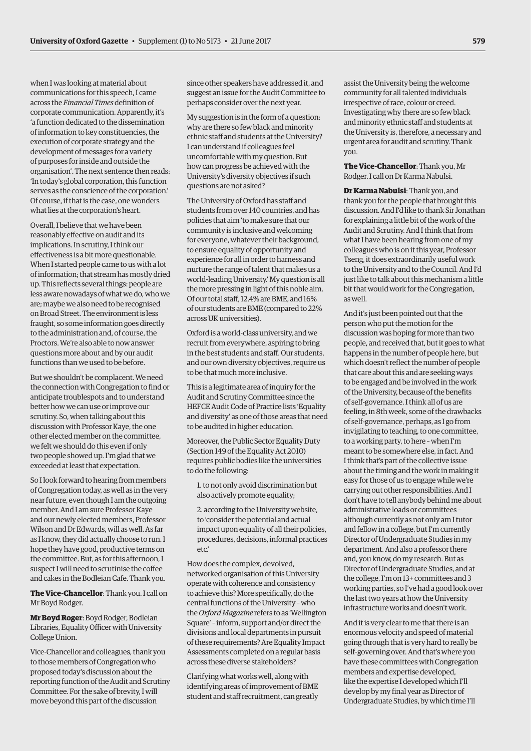when I was looking at material about communications for this speech, I came across the *Financial Times* definition of corporate communication. Apparently, it's 'a function dedicated to the dissemination of information to key constituencies, the execution of corporate strategy and the development of messages for a variety of purposes for inside and outside the organisation'. The next sentence then reads: 'In today's global corporation, this function serves as the conscience of the corporation.' Of course, if that is the case, one wonders what lies at the corporation's heart.

Overall, I believe that we have been reasonably effective on audit and its implications. In scrutiny, I think our effectiveness is a bit more questionable. When I started people came to us with a lot of information; that stream has mostly dried up. This reflects several things: people are less aware nowadays of what we do, who we are; maybe we also need to be recognised on Broad Street. The environment is less fraught, so some information goes directly to the administration and, of course, the Proctors. We're also able to now answer questions more about and by our audit functions than we used to be before.

But we shouldn't be complacent. We need the connection with Congregation to find or anticipate troublespots and to understand better how we can use or improve our scrutiny. So, when talking about this discussion with Professor Kaye, the one other elected member on the committee, we felt we should do this even if only two people showed up. I'm glad that we exceeded at least that expectation.

So I look forward to hearing from members of Congregation today, as well as in the very near future, even though I am the outgoing member. And I am sure Professor Kaye and our newly elected members, Professor Wilson and Dr Edwards, will as well. As far as I know, they did actually choose to run. I hope they have good, productive terms on the committee. But, as for this afternoon, I suspect I will need to scrutinise the coffee and cakes in the Bodleian Cafe. Thank you.

**The Vice-Chancellor**: Thank you. I call on Mr Boyd Rodger.

**Mr Boyd Roger**: Boyd Rodger, Bodleian Libraries, Equality Officer with University College Union.

Vice-Chancellor and colleagues, thank you to those members of Congregation who proposed today's discussion about the reporting function of the Audit and Scrutiny Committee. For the sake of brevity, I will move beyond this part of the discussion

since other speakers have addressed it, and suggest an issue for the Audit Committee to perhaps consider over the next year.

My suggestion is in the form of a question: why are there so few black and minority ethnic staff and students at the University? I can understand if colleagues feel uncomfortable with my question. But how can progress be achieved with the University's diversity objectives if such questions are not asked?

The University of Oxford has staff and students from over 140 countries, and has policies that aim 'to make sure that our community is inclusive and welcoming for everyone, whatever their background, to ensure equality of opportunity and experience for all in order to harness and nurture the range of talent that makes us a world-leading University.' My question is all the more pressing in light of this noble aim. Of our total staff, 12.4% are BME, and 16% of our students are BME (compared to 22% across UK universities).

Oxford is a world-class university, and we recruit from everywhere, aspiring to bring in the best students and staff. Our students, and our own diversity objectives, require us to be that much more inclusive.

This is a legitimate area of inquiry for the Audit and Scrutiny Committee since the HEFCE Audit Code of Practice lists 'Equality and diversity' as one of those areas that need to be audited in higher education.

Moreover, the Public Sector Equality Duty (Section 149 of the Equality Act 2010) requires public bodies like the universities to do the following:

- 1. to not only avoid discrimination but also actively promote equality;
- 2. according to the University website, to 'consider the potential and actual impact upon equality of all their policies, procedures, decisions, informal practices etc.'

How does the complex, devolved, networked organisation of this University operate with coherence and consistency to achieve this? More specifically, do the central functions of the University – who the *Oxford Magazine* refers to as 'Wellington Square' – inform, support and/or direct the divisions and local departments in pursuit of these requirements? Are Equality Impact Assessments completed on a regular basis across these diverse stakeholders?

Clarifying what works well, along with identifying areas of improvement of BME student and staff recruitment, can greatly assist the University being the welcome community for all talented individuals irrespective of race, colour or creed. Investigating why there are so few black and minority ethnic staff and students at the University is, therefore, a necessary and urgent area for audit and scrutiny. Thank you.

**The Vice-Chancellor**: Thank you, Mr Rodger. I call on Dr Karma Nabulsi.

**Dr Karma Nabulsi**: Thank you, and thank you for the people that brought this discussion. And I'd like to thank Sir Jonathan for explaining a little bit of the work of the Audit and Scrutiny. And I think that from what I have been hearing from one of my colleagues who is on it this year, Professor Tseng, it does extraordinarily useful work to the University and to the Council. And I'd just like to talk about this mechanism a little bit that would work for the Congregation, as well.

And it's just been pointed out that the person who put the motion for the discussion was hoping for more than two people, and received that, but it goes to what happens in the number of people here, but which doesn't reflect the number of people that care about this and are seeking ways to be engaged and be involved in the work of the University, because of the benefits of self-governance. I think all of us are feeling, in 8th week, some of the drawbacks of self-governance, perhaps, as I go from invigilating to teaching, to one committee, to a working party, to here – when I'm meant to be somewhere else, in fact. And I think that's part of the collective issue about the timing and the work in making it easy for those of us to engage while we're carrying out other responsibilities. And I don't have to tell anybody behind me about administrative loads or committees – although currently as not only am I tutor and fellow in a college, but I'm currently Director of Undergraduate Studies in my department. And also a professor there and, you know, do my research. But as Director of Undergraduate Studies, and at the college, I'm on 13+ committees and 3 working parties, so I've had a good look over the last two years at how the University infrastructure works and doesn't work.

And it is very clear to me that there is an enormous velocity and speed of material going through that is very hard to really be self-governing over. And that's where you have these committees with Congregation members and expertise developed, like the expertise I developed which I'll develop by my final year as Director of Undergraduate Studies, by which time I'll